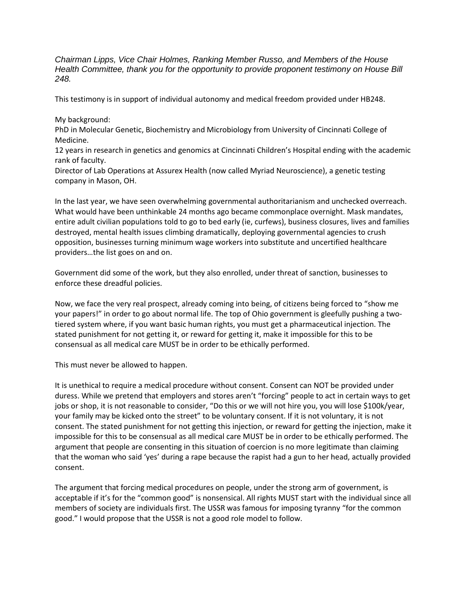*Chairman Lipps, Vice Chair Holmes, Ranking Member Russo, and Members of the House Health Committee, thank you for the opportunity to provide proponent testimony on House Bill 248.*

This testimony is in support of individual autonomy and medical freedom provided under HB248.

My background:

PhD in Molecular Genetic, Biochemistry and Microbiology from University of Cincinnati College of Medicine.

12 years in research in genetics and genomics at Cincinnati Children's Hospital ending with the academic rank of faculty.

Director of Lab Operations at Assurex Health (now called Myriad Neuroscience), a genetic testing company in Mason, OH.

In the last year, we have seen overwhelming governmental authoritarianism and unchecked overreach. What would have been unthinkable 24 months ago became commonplace overnight. Mask mandates, entire adult civilian populations told to go to bed early (ie, curfews), business closures, lives and families destroyed, mental health issues climbing dramatically, deploying governmental agencies to crush opposition, businesses turning minimum wage workers into substitute and uncertified healthcare providers…the list goes on and on.

Government did some of the work, but they also enrolled, under threat of sanction, businesses to enforce these dreadful policies.

Now, we face the very real prospect, already coming into being, of citizens being forced to "show me your papers!" in order to go about normal life. The top of Ohio government is gleefully pushing a twotiered system where, if you want basic human rights, you must get a pharmaceutical injection. The stated punishment for not getting it, or reward for getting it, make it impossible for this to be consensual as all medical care MUST be in order to be ethically performed.

This must never be allowed to happen.

It is unethical to require a medical procedure without consent. Consent can NOT be provided under duress. While we pretend that employers and stores aren't "forcing" people to act in certain ways to get jobs or shop, it is not reasonable to consider, "Do this or we will not hire you, you will lose \$100k/year, your family may be kicked onto the street" to be voluntary consent. If it is not voluntary, it is not consent. The stated punishment for not getting this injection, or reward for getting the injection, make it impossible for this to be consensual as all medical care MUST be in order to be ethically performed. The argument that people are consenting in this situation of coercion is no more legitimate than claiming that the woman who said 'yes' during a rape because the rapist had a gun to her head, actually provided consent.

The argument that forcing medical procedures on people, under the strong arm of government, is acceptable if it's for the "common good" is nonsensical. All rights MUST start with the individual since all members of society are individuals first. The USSR was famous for imposing tyranny "for the common good." I would propose that the USSR is not a good role model to follow.